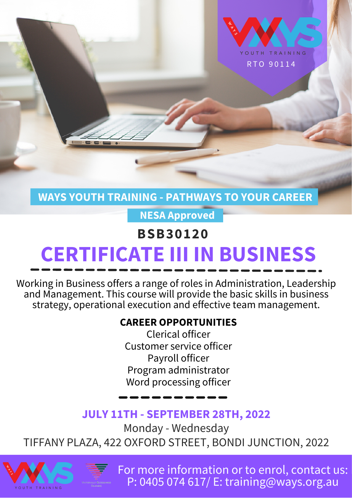

**WAYS YOUTH TRAINING - PATHWAYS TO YOUR CAREER**

**NESA Approved**

# **BSB30120 CERTIFICATE III IN BUSINESS**

Working in Business offers a range of roles in Administration, Leadership and Management. This course will provide the basic skills in business strategy, operational execution and effective team management.

### **CAREER OPPORTUNITIES**

Clerical officer Customer service officer Payroll officer Program administrator Word processing officer

## **JULY 11TH - SEPTEMBER 28TH, 2022**

Monday - Wednesday

TIFFANY PLAZA, 422 OXFORD STREET, BONDI JUNCTION, 2022